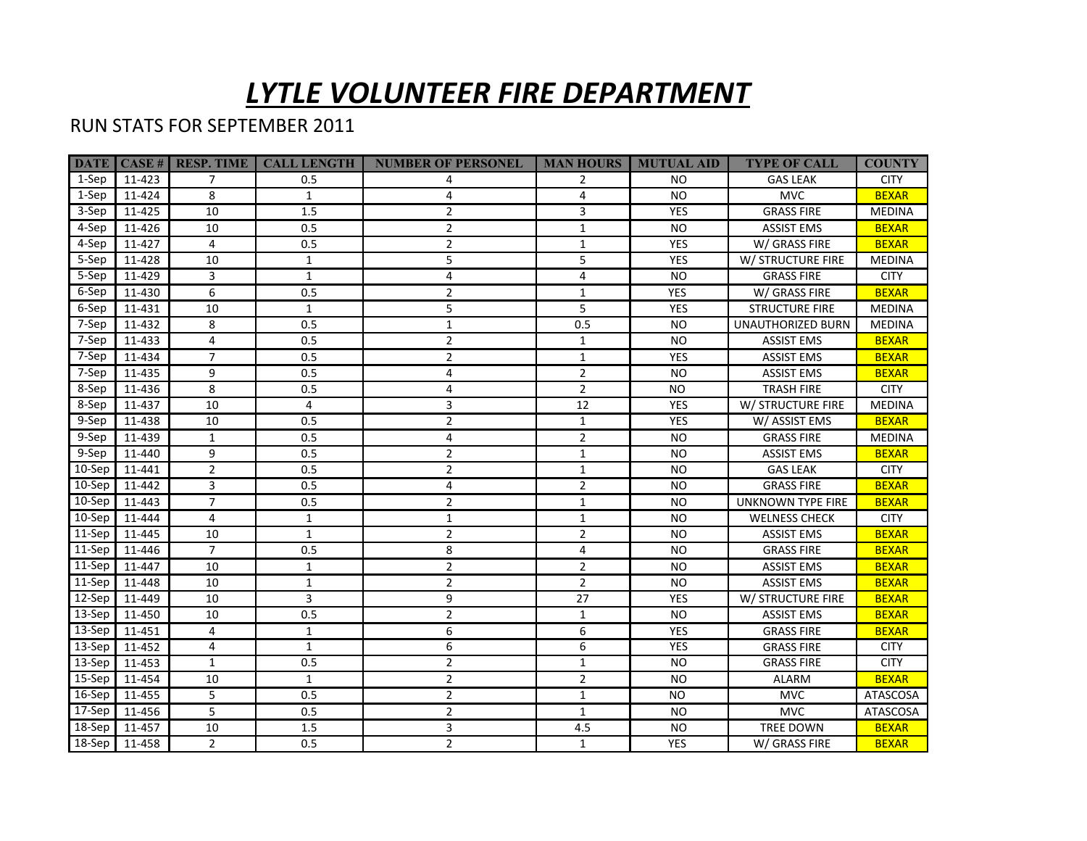## *LYTLE VOLUNTEER FIRE DEPARTMENT*

## RUN STATS FOR SEPTEMBER 2011

|            |        | <b>DATE CASE</b> # <b>RESP. TIME</b> | <b>CALL LENGTH</b> | <b>NUMBER OF PERSONEL</b> | <b>MAN HOURS</b> | <b>MUTUAL AID</b> | <b>TYPE OF CALL</b>   | <b>COUNTY</b>   |
|------------|--------|--------------------------------------|--------------------|---------------------------|------------------|-------------------|-----------------------|-----------------|
| 1-Sep      | 11-423 | $\overline{7}$                       | 0.5                | 4                         | 2                | NO.               | <b>GAS LEAK</b>       | <b>CITY</b>     |
| 1-Sep      | 11-424 | 8                                    | $\mathbf{1}$       | 4                         | 4                | NO.               | <b>MVC</b>            | <b>BEXAR</b>    |
| 3-Sep      | 11-425 | 10                                   | 1.5                | $\overline{2}$            | 3                | <b>YES</b>        | <b>GRASS FIRE</b>     | <b>MEDINA</b>   |
| 4-Sep      | 11-426 | 10                                   | 0.5                | $\overline{2}$            | $\mathbf{1}$     | <b>NO</b>         | <b>ASSIST EMS</b>     | <b>BEXAR</b>    |
| 4-Sep      | 11-427 | $\overline{4}$                       | 0.5                | $\overline{2}$            | $\mathbf{1}$     | YES               | W/ GRASS FIRE         | <b>BEXAR</b>    |
| 5-Sep      | 11-428 | 10                                   | $\mathbf{1}$       | 5                         | 5                | YES               | W/ STRUCTURE FIRE     | <b>MEDINA</b>   |
| 5-Sep      | 11-429 | 3                                    | $\mathbf{1}$       | 4                         | 4                | <b>NO</b>         | <b>GRASS FIRE</b>     | <b>CITY</b>     |
| 6-Sep      | 11-430 | 6                                    | 0.5                | 2                         | $\mathbf{1}$     | <b>YES</b>        | W/ GRASS FIRE         | <b>BEXAR</b>    |
| 6-Sep      | 11-431 | 10                                   | $\mathbf{1}$       | 5                         | 5                | YES               | <b>STRUCTURE FIRE</b> | MEDINA          |
| 7-Sep      | 11-432 | 8                                    | 0.5                | 1                         | 0.5              | NO.               | UNAUTHORIZED BURN     | <b>MEDINA</b>   |
| 7-Sep      | 11-433 | 4                                    | 0.5                | $\overline{2}$            | 1                | <b>NO</b>         | <b>ASSIST EMS</b>     | <b>BEXAR</b>    |
| 7-Sep      | 11-434 | $\overline{7}$                       | 0.5                | $\overline{2}$            | $\mathbf{1}$     | <b>YES</b>        | <b>ASSIST EMS</b>     | <b>BEXAR</b>    |
| 7-Sep      | 11-435 | 9                                    | 0.5                | 4                         | $\overline{2}$   | <b>NO</b>         | <b>ASSIST EMS</b>     | <b>BEXAR</b>    |
| 8-Sep      | 11-436 | 8                                    | 0.5                | 4                         | $\overline{2}$   | <b>NO</b>         | <b>TRASH FIRE</b>     | <b>CITY</b>     |
| 8-Sep      | 11-437 | 10                                   | 4                  | 3                         | 12               | <b>YES</b>        | W/ STRUCTURE FIRE     | <b>MEDINA</b>   |
| 9-Sep      | 11-438 | 10                                   | 0.5                | $\overline{2}$            | $\mathbf{1}$     | <b>YES</b>        | W/ ASSIST EMS         | <b>BEXAR</b>    |
| 9-Sep      | 11-439 | $\mathbf{1}$                         | 0.5                | 4                         | $\overline{2}$   | <b>NO</b>         | <b>GRASS FIRE</b>     | <b>MEDINA</b>   |
| 9-Sep      | 11-440 | 9                                    | 0.5                | $\overline{2}$            | $\mathbf{1}$     | <b>NO</b>         | <b>ASSIST EMS</b>     | <b>BEXAR</b>    |
| $10-$ Sep  | 11-441 | $\overline{2}$                       | 0.5                | $\overline{2}$            | $\mathbf{1}$     | <b>NO</b>         | <b>GAS LEAK</b>       | <b>CITY</b>     |
| 10-Sep     | 11-442 | 3                                    | 0.5                | 4                         | $\overline{2}$   | <b>NO</b>         | <b>GRASS FIRE</b>     | <b>BEXAR</b>    |
| 10-Sep     | 11-443 | $\overline{7}$                       | 0.5                | $\overline{2}$            | $\mathbf{1}$     | <b>NO</b>         | UNKNOWN TYPE FIRE     | <b>BEXAR</b>    |
| $10-$ Sep  | 11-444 | 4                                    | $\mathbf{1}$       | $\mathbf{1}$              | $\mathbf{1}$     | <b>NO</b>         | <b>WELNESS CHECK</b>  | <b>CITY</b>     |
| 11-Sep     | 11-445 | 10                                   | $\mathbf{1}$       | $\overline{2}$            | $\overline{2}$   | NO.               | <b>ASSIST EMS</b>     | <b>BEXAR</b>    |
| $11-Sep$   | 11-446 | $\overline{7}$                       | 0.5                | 8                         | 4                | <b>NO</b>         | <b>GRASS FIRE</b>     | <b>BEXAR</b>    |
| $11-Sep$   | 11-447 | 10                                   | $\mathbf{1}$       | $\overline{2}$            | $\overline{2}$   | <b>NO</b>         | <b>ASSIST EMS</b>     | <b>BEXAR</b>    |
| $ 11-Sep $ | 11-448 | 10                                   | $\mathbf{1}$       | $\overline{2}$            | $\overline{2}$   | NO.               | <b>ASSIST EMS</b>     | <b>BEXAR</b>    |
| 12-Sep     | 11-449 | 10                                   | 3                  | 9                         | 27               | <b>YES</b>        | W/ STRUCTURE FIRE     | <b>BEXAR</b>    |
| 13-Sep     | 11-450 | 10                                   | 0.5                | $\overline{2}$            | $\mathbf{1}$     | <b>NO</b>         | <b>ASSIST EMS</b>     | <b>BEXAR</b>    |
| 13-Sep     | 11-451 | 4                                    | $\mathbf{1}$       | 6                         | 6                | <b>YES</b>        | <b>GRASS FIRE</b>     | <b>BEXAR</b>    |
| 13-Sep     | 11-452 | 4                                    | $\mathbf{1}$       | 6                         | 6                | <b>YES</b>        | <b>GRASS FIRE</b>     | <b>CITY</b>     |
| 13-Sep     | 11-453 | $\mathbf{1}$                         | 0.5                | $\overline{2}$            | $\mathbf{1}$     | <b>NO</b>         | <b>GRASS FIRE</b>     | <b>CITY</b>     |
| 15-Sep     | 11-454 | 10                                   | $\mathbf{1}$       | 2                         | $\overline{2}$   | <b>NO</b>         | <b>ALARM</b>          | <b>BEXAR</b>    |
| 16-Sep     | 11-455 | 5                                    | 0.5                | 2                         | $\mathbf{1}$     | <b>NO</b>         | <b>MVC</b>            | <b>ATASCOSA</b> |
| 17-Sep     | 11-456 | 5                                    | 0.5                | $\overline{2}$            | $\mathbf{1}$     | <b>NO</b>         | <b>MVC</b>            | ATASCOSA        |
| 18-Sep     | 11-457 | 10                                   | 1.5                | 3                         | 4.5              | <b>NO</b>         | TREE DOWN             | <b>BEXAR</b>    |
| $18$ -Sep  | 11-458 | $\overline{2}$                       | 0.5                | $\overline{2}$            | $\mathbf{1}$     | <b>YES</b>        | W/ GRASS FIRE         | <b>BEXAR</b>    |